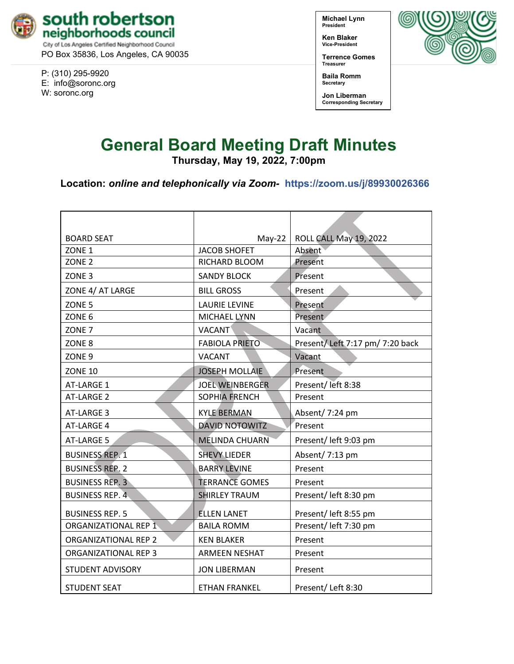

PO Box 35836, Los Angeles, CA 90035

P: (310) 295-9920 E: [info@soronc.org](mailto:info@soronc.org) W: soronc.org

**Michael Lynn President**

**Ken Blaker Vice-President**

**Terrence Gomes Treasurer**



**Jon Liberman Corresponding Secretary**

# **General Board Meeting Draft Minutes**

**Thursday, May 19, 2022, 7:00pm**

**Location:** *online and telephonically via Zoom-* **<https://zoom.us/j/89930026366>**

| <b>BOARD SEAT</b>           | $May-22$               | ROLL CALL May 19, 2022          |
|-----------------------------|------------------------|---------------------------------|
| ZONE <sub>1</sub>           | <b>JACOB SHOFET</b>    | Absent                          |
| ZONE <sub>2</sub>           | RICHARD BLOOM          | Present                         |
| ZONE <sub>3</sub>           | <b>SANDY BLOCK</b>     | Present                         |
| ZONE 4/ AT LARGE            | <b>BILL GROSS</b>      | Present                         |
| ZONE <sub>5</sub>           | <b>LAURIE LEVINE</b>   | Present                         |
| ZONE 6                      | MICHAEL LYNN           | Present                         |
| ZONE <sub>7</sub>           | <b>VACANT</b>          | Vacant                          |
| ZONE 8                      | <b>FABIOLA PRIETO</b>  | Present/Left 7:17 pm/ 7:20 back |
| ZONE <sub>9</sub>           | <b>VACANT</b>          | Vacant                          |
| <b>ZONE 10</b>              | <b>JOSEPH MOLLAIE</b>  | Present                         |
| AT-LARGE 1                  | <b>JOEL WEINBERGER</b> | Present/left 8:38               |
| AT-LARGE 2                  | <b>SOPHIA FRENCH</b>   | Present                         |
| AT-LARGE 3                  | <b>KYLE BERMAN</b>     | Absent/ 7:24 pm                 |
| AT-LARGE 4                  | <b>DAVID NOTOWITZ</b>  | Present                         |
| AT-LARGE 5                  | <b>MÉLINDA CHUARN</b>  | Present/ left 9:03 pm           |
| <b>BUSINESS REP. 1</b>      | <b>SHEVY LIEDER</b>    | Absent/7:13 pm                  |
| <b>BUSINESS REP. 2</b>      | <b>BARRY LEVINE</b>    | Present                         |
| <b>BUSINESS REP. 3</b>      | <b>TERRANCE GOMES</b>  | Present                         |
| <b>BUSINESS REP. 4</b>      | <b>SHIRLEY TRAUM</b>   | Present/ left 8:30 pm           |
| <b>BUSINESS REP. 5</b>      | <b>ELLEN LANET</b>     | Present/ left 8:55 pm           |
| ORGANIZATIONAL REP 1        | <b>BAILA ROMM</b>      | Present/ left 7:30 pm           |
| ORGANIZATIONAL REP 2        | <b>KEN BLAKER</b>      | Present                         |
| <b>ORGANIZATIONAL REP 3</b> | <b>ARMEEN NESHAT</b>   | Present                         |
| <b>STUDENT ADVISORY</b>     | <b>JON LIBERMAN</b>    | Present                         |
| <b>STUDENT SEAT</b>         | <b>ETHAN FRANKEL</b>   | Present/Left 8:30               |

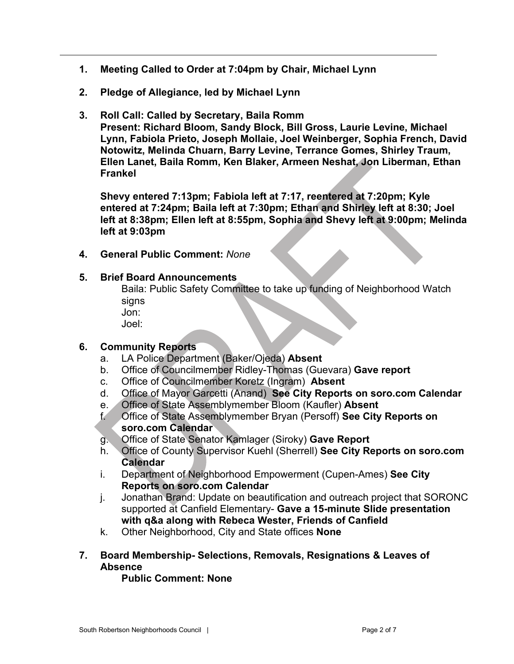- **1. Meeting Called to Order at 7:04pm by Chair, Michael Lynn**
- **2. Pledge of Allegiance, led by Michael Lynn**
- **3. Roll Call: Called by Secretary, Baila Romm Present: Richard Bloom, Sandy Block, Bill Gross, Laurie Levine, Michael Lynn, Fabiola Prieto, Joseph Mollaie, Joel Weinberger, Sophia French, David Notowitz, Melinda Chuarn, Barry Levine, Terrance Gomes, Shirley Traum, Ellen Lanet, Baila Romm, Ken Blaker, Armeen Neshat, Jon Liberman, Ethan Frankel**

**Shevy entered 7:13pm; Fabiola left at 7:17, reentered at 7:20pm; Kyle entered at 7:24pm; Baila left at 7:30pm; Ethan and Shirley left at 8:30; Joel left at 8:38pm; Ellen left at 8:55pm, Sophia and Shevy left at 9:00pm; Melinda left at 9:03pm**

**4. General Public Comment:** *None*

### **5. Brief Board Announcements**

Baila: Public Safety Committee to take up funding of Neighborhood Watch signs

Jon:

Joel:

## **6. Community Reports**

- a. LA Police Department (Baker/Ojeda) **Absent**
- b. Office of Councilmember Ridley-Thomas (Guevara) **Gave report**
- c. Office of Councilmember Koretz (Ingram) **Absent**
- d. Office of Mayor Garcetti (Anand) **See City Reports on soro.com Calendar**
- e. Office of State Assemblymember Bloom (Kaufler) **Absent**
- f. Office of State Assemblymember Bryan (Persoff) **See City Reports on soro.com Calendar**
- g. Office of State Senator Kamlager (Siroky) **Gave Report**
- h. Office of County Supervisor Kuehl (Sherrell) **See City Reports on soro.com Calendar**
- i. Department of Neighborhood Empowerment (Cupen-Ames) **See City Reports on soro.com Calendar**
- j. Jonathan Brand: Update on beautification and outreach project that SORONC supported at Canfield Elementary- **Gave a 15-minute Slide presentation with q&a along with Rebeca Wester, Friends of Canfield**
- k. Other Neighborhood, City and State offices **None**
- **7. Board Membership- Selections, Removals, Resignations & Leaves of Absence**

## **Public Comment: None**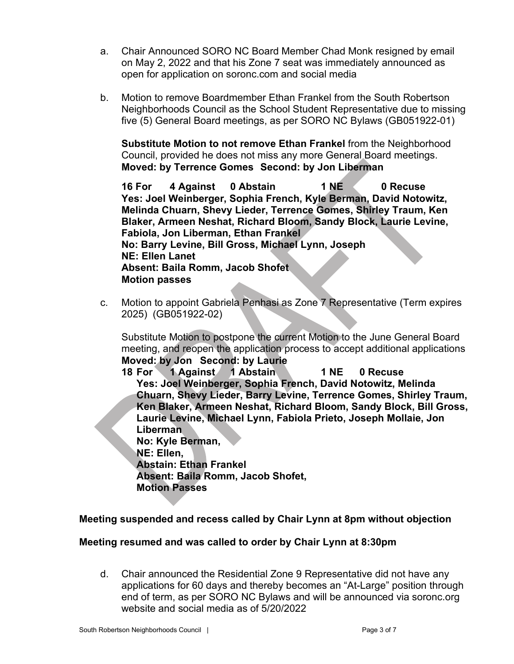- a. Chair Announced SORO NC Board Member Chad Monk resigned by email on May 2, 2022 and that his Zone 7 seat was immediately announced as open for application on soronc.com and social media
- b. Motion to remove Boardmember Ethan Frankel from the South Robertson Neighborhoods Council as the School Student Representative due to missing five (5) General Board meetings, as per SORO NC Bylaws (GB051922-01)

**Substitute Motion to not remove Ethan Frankel** from the Neighborhood Council, provided he does not miss any more General Board meetings. **Moved: by Terrence Gomes Second: by Jon Liberman**

**16 For 4 Against 0 Abstain 1 NE 0 Recuse Yes: Joel Weinberger, Sophia French, Kyle Berman, David Notowitz, Melinda Chuarn, Shevy Lieder, Terrence Gomes, Shirley Traum, Ken Blaker, Armeen Neshat, Richard Bloom, Sandy Block, Laurie Levine, Fabiola, Jon Liberman, Ethan Frankel No: Barry Levine, Bill Gross, Michael Lynn, Joseph NE: Ellen Lanet Absent: Baila Romm, Jacob Shofet Motion passes**

c. Motion to appoint Gabriela Penhasi as Zone 7 Representative (Term expires 2025) (GB051922-02)

Substitute Motion to postpone the current Motion to the June General Board meeting, and reopen the application process to accept additional applications **Moved: by Jon Second: by Laurie**

**18 For 1 Against 1 Abstain 1 NE 0 Recuse Yes: Joel Weinberger, Sophia French, David Notowitz, Melinda Chuarn, Shevy Lieder, Barry Levine, Terrence Gomes, Shirley Traum, Ken Blaker, Armeen Neshat, Richard Bloom, Sandy Block, Bill Gross, Laurie Levine, Michael Lynn, Fabiola Prieto, Joseph Mollaie, Jon Liberman**

**No: Kyle Berman, NE: Ellen, Abstain: Ethan Frankel Absent: Baila Romm, Jacob Shofet, Motion Passes**

## **Meeting suspended and recess called by Chair Lynn at 8pm without objection**

## **Meeting resumed and was called to order by Chair Lynn at 8:30pm**

d. Chair announced the Residential Zone 9 Representative did not have any applications for 60 days and thereby becomes an "At-Large" position through end of term, as per SORO NC Bylaws and will be announced via soronc.org website and social media as of 5/20/2022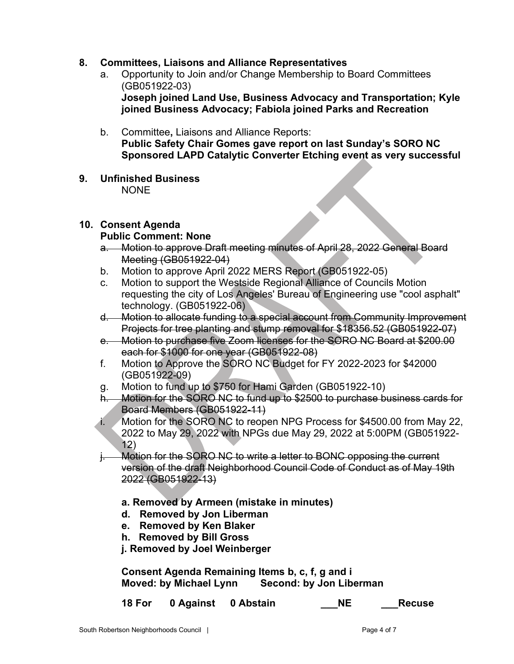## **8. Committees, Liaisons and Alliance Representatives**

- a. Opportunity to Join and/or Change Membership to Board Committees (GB051922-03) **Joseph joined Land Use, Business Advocacy and Transportation; Kyle joined Business Advocacy; Fabiola joined Parks and Recreation**
- b. Committee**,** Liaisons and Alliance Reports: **Public Safety Chair Gomes gave report on last Sunday's SORO NC Sponsored LAPD Catalytic Converter Etching event as very successful**
- **9. Unfinished Business** NONE

#### **10. Consent Agenda**

#### **Public Comment: None**

- a. Motion to approve Draft meeting minutes of April 28, 2022 General Board Meeting (GB051922-04)
- b. Motion to approve April 2022 MERS Report (GB051922-05)
- c. Motion to support the Westside Regional Alliance of Councils Motion requesting the city of Los Angeles' Bureau of Engineering use "cool asphalt" technology. (GB051922-06)
- d. Motion to allocate funding to a special account from Community Improvement Projects for tree planting and stump removal for \$18356.52 (GB051922-07)
- e. Motion to purchase five Zoom licenses for the SORO NC Board at \$200.00 each for \$1000 for one year (GB051922-08)
- f. Motion to Approve the SORO NC Budget for FY 2022-2023 for \$42000 (GB051922-09)
- g. Motion to fund up to \$750 for Hami Garden (GB051922-10)
- h. Motion for the SORO NC to fund up to \$2500 to purchase business cards for Board Members (GB051922-11)
- i. Motion for the SORO NC to reopen NPG Process for \$4500.00 from May 22, 2022 to May 29, 2022 with NPGs due May 29, 2022 at 5:00PM (GB051922- 12)

Motion for the SORO NC to write a letter to BONC opposing the current version of the draft Neighborhood Council Code of Conduct as of May 19th 2022 (GB051922-13)

- **a. Removed by Armeen (mistake in minutes)**
- **d. Removed by Jon Liberman**
- **e. Removed by Ken Blaker**
- **h. Removed by Bill Gross**

**j. Removed by Joel Weinberger**

**Consent Agenda Remaining Items b, c, f, g and i Moved: by Michael Lynn Second: by Jon Liberman**

**18 For 0 Against 0 Abstain \_\_\_NE \_\_\_Recuse**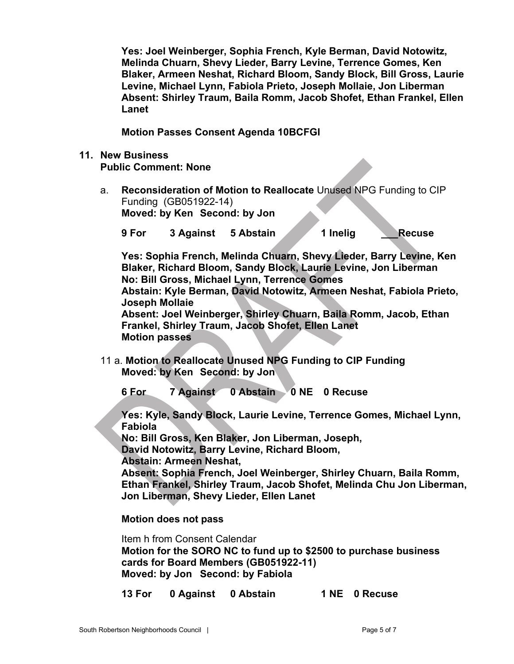**Yes: Joel Weinberger, Sophia French, Kyle Berman, David Notowitz, Melinda Chuarn, Shevy Lieder, Barry Levine, Terrence Gomes, Ken Blaker, Armeen Neshat, Richard Bloom, Sandy Block, Bill Gross, Laurie Levine, Michael Lynn, Fabiola Prieto, Joseph Mollaie, Jon Liberman Absent: Shirley Traum, Baila Romm, Jacob Shofet, Ethan Frankel, Ellen Lanet**

**Motion Passes Consent Agenda 10BCFGI**

- **11. New Business Public Comment: None**
	- a. **Reconsideration of Motion to Reallocate** Unused NPG Funding to CIP Funding (GB051922-14) **Moved: by Ken Second: by Jon**

**9 For 3 Against 5 Abstain 1 Inelig \_\_\_Recuse**

**Yes: Sophia French, Melinda Chuarn, Shevy Lieder, Barry Levine, Ken Blaker, Richard Bloom, Sandy Block, Laurie Levine, Jon Liberman No: Bill Gross, Michael Lynn, Terrence Gomes Abstain: Kyle Berman, David Notowitz, Armeen Neshat, Fabiola Prieto, Joseph Mollaie Absent: Joel Weinberger, Shirley Chuarn, Baila Romm, Jacob, Ethan Frankel, Shirley Traum, Jacob Shofet, Ellen Lanet**

**Motion passes**

11 a. **Motion to Reallocate Unused NPG Funding to CIP Funding Moved: by Ken Second: by Jon**

**6 For 7 Against 0 Abstain 0 NE 0 Recuse**

**Yes: Kyle, Sandy Block, Laurie Levine, Terrence Gomes, Michael Lynn, Fabiola**

**No: Bill Gross, Ken Blaker, Jon Liberman, Joseph,** 

**David Notowitz, Barry Levine, Richard Bloom,** 

**Abstain: Armeen Neshat,**

**Absent: Sophia French, Joel Weinberger, Shirley Chuarn, Baila Romm, Ethan Frankel, Shirley Traum, Jacob Shofet, Melinda Chu Jon Liberman, Jon Liberman, Shevy Lieder, Ellen Lanet**

**Motion does not pass**

Item h from Consent Calendar **Motion for the SORO NC to fund up to \$2500 to purchase business cards for Board Members (GB051922-11) Moved: by Jon Second: by Fabiola**

**13 For 0 Against 0 Abstain 1 NE 0 Recuse**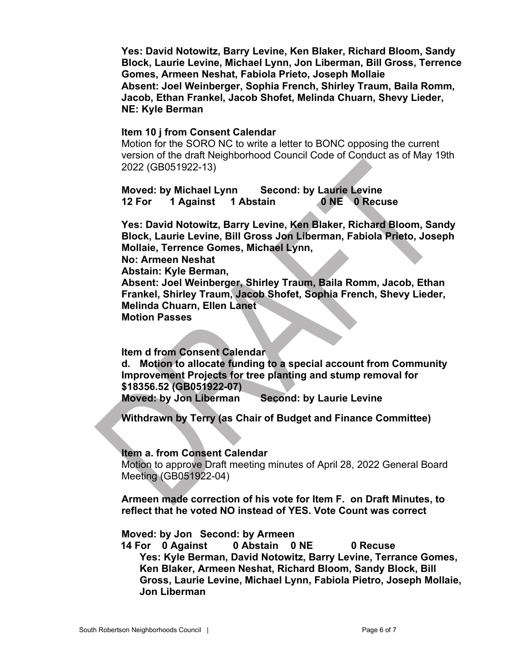**Yes: David Notowitz, Barry Levine, Ken Blaker, Richard Bloom, Sandy Block, Laurie Levine, Michael Lynn, Jon Liberman, Bill Gross, Terrence Gomes, Armeen Neshat, Fabiola Prieto, Joseph Mollaie Absent: Joel Weinberger, Sophia French, Shirley Traum, Baila Romm, Jacob, Ethan Frankel, Jacob Shofet, Melinda Chuarn, Shevy Lieder, NE: Kyle Berman**

#### **Item 10 j from Consent Calendar**

Motion for the SORO NC to write a letter to BONC opposing the current version of the draft Neighborhood Council Code of Conduct as of May 19th 2022 (GB051922-13)

**Moved: by Michael Lynn Second: by Laurie Levine 12 For 1 Against 1 Abstain 0 NE 0 Recuse**

**Yes: David Notowitz, Barry Levine, Ken Blaker, Richard Bloom, Sandy Block, Laurie Levine, Bill Gross Jon Liberman, Fabiola Prieto, Joseph Mollaie, Terrence Gomes, Michael Lynn,**

**No: Armeen Neshat**

**Abstain: Kyle Berman,** 

**Absent: Joel Weinberger, Shirley Traum, Baila Romm, Jacob, Ethan Frankel, Shirley Traum, Jacob Shofet, Sophia French, Shevy Lieder, Melinda Chuarn, Ellen Lanet**

**Motion Passes**

**Item d from Consent Calendar**

**d. Motion to allocate funding to a special account from Community Improvement Projects for tree planting and stump removal for \$18356.52 (GB051922-07) Moved: by Jon Liberman Second: by Laurie Levine**

**Withdrawn by Terry (as Chair of Budget and Finance Committee)**

#### **Item a. from Consent Calendar**

Motion to approve Draft meeting minutes of April 28, 2022 General Board Meeting (GB051922-04)

**Armeen made correction of his vote for Item F. on Draft Minutes, to reflect that he voted NO instead of YES. Vote Count was correct**

**Moved: by Jon Second: by Armeen**

 **14 For 0 Against 0 Abstain 0 NE 0 Recuse Yes: Kyle Berman, David Notowitz, Barry Levine, Terrance Gomes, Ken Blaker, Armeen Neshat, Richard Bloom, Sandy Block, Bill Gross, Laurie Levine, Michael Lynn, Fabiola Pietro, Joseph Mollaie, Jon Liberman**